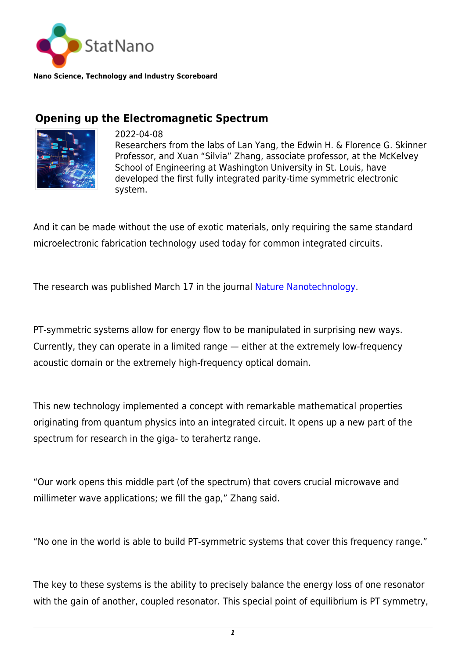

**Nano Science, Technology and Industry Scoreboard**

## **Opening up the Electromagnetic Spectrum**



2022-04-08 Researchers from the labs of Lan Yang, the Edwin H. & Florence G. Skinner Professor, and Xuan "Silvia" Zhang, associate professor, at the McKelvey School of Engineering at Washington University in St. Louis, have developed the first fully integrated parity-time symmetric electronic system.

And it can be made without the use of exotic materials, only requiring the same standard microelectronic fabrication technology used today for common integrated circuits.

The research was published March 17 in the journal [Nature Nanotechnology](https://www.nature.com/articles/s41565-021-01038-4).

PT-symmetric systems allow for energy flow to be manipulated in surprising new ways. Currently, they can operate in a limited range — either at the extremely low-frequency acoustic domain or the extremely high-frequency optical domain.

This new technology implemented a concept with remarkable mathematical properties originating from quantum physics into an integrated circuit. It opens up a new part of the spectrum for research in the giga- to terahertz range.

"Our work opens this middle part (of the spectrum) that covers crucial microwave and millimeter wave applications; we fill the gap," Zhang said.

"No one in the world is able to build PT-symmetric systems that cover this frequency range."

The key to these systems is the ability to precisely balance the energy loss of one resonator with the gain of another, coupled resonator. This special point of equilibrium is PT symmetry,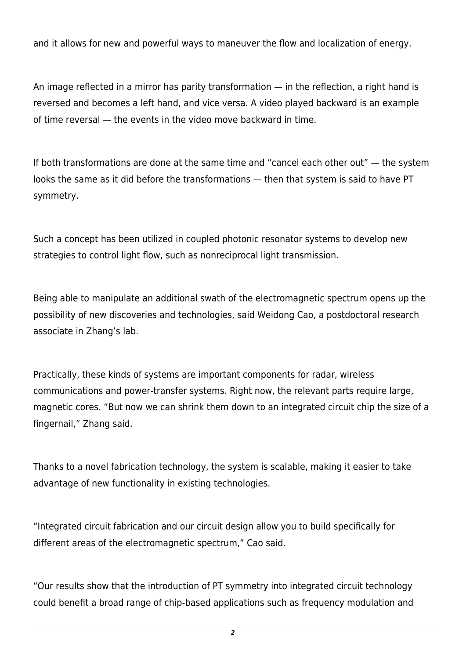and it allows for new and powerful ways to maneuver the flow and localization of energy.

An image reflected in a mirror has parity transformation — in the reflection, a right hand is reversed and becomes a left hand, and vice versa. A video played backward is an example of time reversal — the events in the video move backward in time.

If both transformations are done at the same time and "cancel each other out" — the system looks the same as it did before the transformations — then that system is said to have PT symmetry.

Such a concept has been utilized in coupled photonic resonator systems to develop new strategies to control light flow, such as nonreciprocal light transmission.

Being able to manipulate an additional swath of the electromagnetic spectrum opens up the possibility of new discoveries and technologies, said Weidong Cao, a postdoctoral research associate in Zhang's lab.

Practically, these kinds of systems are important components for radar, wireless communications and power-transfer systems. Right now, the relevant parts require large, magnetic cores. "But now we can shrink them down to an integrated circuit chip the size of a fingernail," Zhang said.

Thanks to a novel fabrication technology, the system is scalable, making it easier to take advantage of new functionality in existing technologies.

"Integrated circuit fabrication and our circuit design allow you to build specifically for different areas of the electromagnetic spectrum," Cao said.

"Our results show that the introduction of PT symmetry into integrated circuit technology could benefit a broad range of chip-based applications such as frequency modulation and

*2*